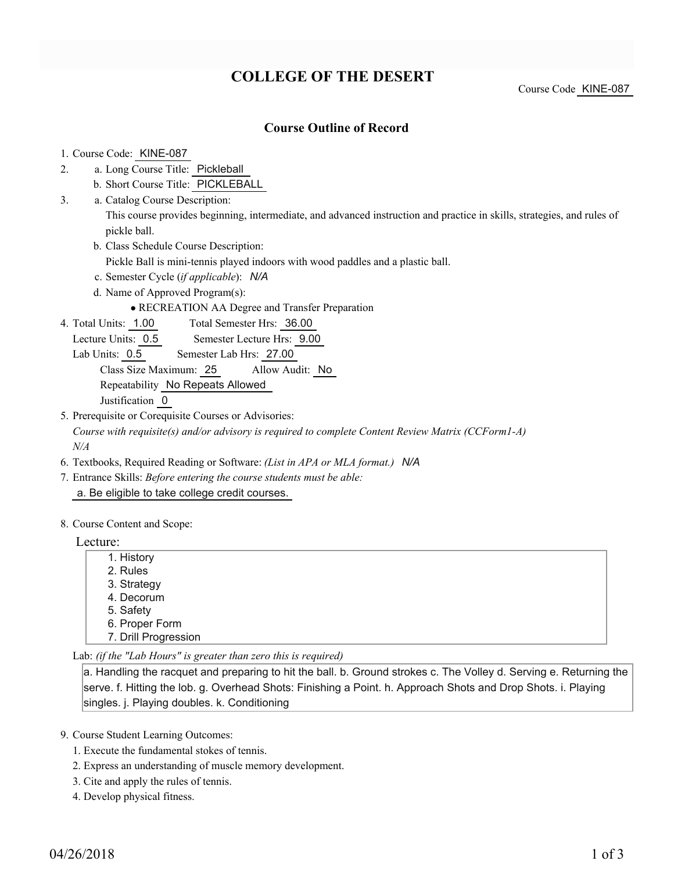# **COLLEGE OF THE DESERT**

Course Code KINE-087

## **Course Outline of Record**

### 1. Course Code: KINE-087

- a. Long Course Title: Pickleball 2.
	- b. Short Course Title: PICKLEBALL
- Catalog Course Description: a. 3.

This course provides beginning, intermediate, and advanced instruction and practice in skills, strategies, and rules of pickle ball.

b. Class Schedule Course Description:

Pickle Ball is mini-tennis played indoors with wood paddles and a plastic ball.

- c. Semester Cycle (*if applicable*): *N/A*
- d. Name of Approved Program(s):

RECREATION AA Degree and Transfer Preparation

Total Semester Hrs: 36.00 4. Total Units: 1.00

Lecture Units: 0.5 Semester Lecture Hrs: 9.00

Lab Units: 0.5 Semester Lab Hrs: 27.00

Class Size Maximum: 25 Allow Audit: No

Repeatability No Repeats Allowed

Justification 0

5. Prerequisite or Corequisite Courses or Advisories:

*Course with requisite(s) and/or advisory is required to complete Content Review Matrix (CCForm1-A) N/A*

- 6. Textbooks, Required Reading or Software: *(List in APA or MLA format.) N/A*
- Entrance Skills: *Before entering the course students must be able:* 7. a. Be eligible to take college credit courses.
- 8. Course Content and Scope:

### Lecture:

1. History 2. Rules 3. Strategy 4. Decorum 5. Safety 6. Proper Form 7. Drill Progression

Lab: *(if the "Lab Hours" is greater than zero this is required)*

a. Handling the racquet and preparing to hit the ball. b. Ground strokes c. The Volley d. Serving e. Returning the serve. f. Hitting the lob. g. Overhead Shots: Finishing a Point. h. Approach Shots and Drop Shots. i. Playing singles. j. Playing doubles. k. Conditioning

- 9. Course Student Learning Outcomes:
	- 1. Execute the fundamental stokes of tennis.
	- 2. Express an understanding of muscle memory development.
	- 3. Cite and apply the rules of tennis.
	- 4. Develop physical fitness.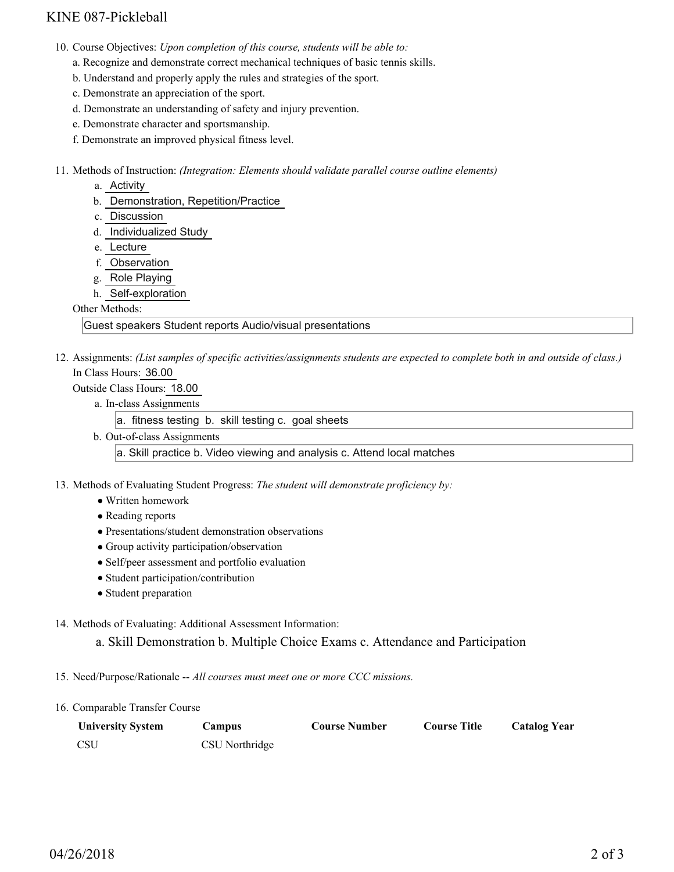## KINE 087-Pickleball

- 10. Course Objectives: Upon completion of this course, students will be able to:
	- a. Recognize and demonstrate correct mechanical techniques of basic tennis skills.
	- b. Understand and properly apply the rules and strategies of the sport.
	- c. Demonstrate an appreciation of the sport.
	- d. Demonstrate an understanding of safety and injury prevention.
	- e. Demonstrate character and sportsmanship.
	- f. Demonstrate an improved physical fitness level.
- Methods of Instruction: *(Integration: Elements should validate parallel course outline elements)* 11.
	- a. Activity
	- b. Demonstration, Repetition/Practice
	- c. Discussion
	- d. Individualized Study
	- e. Lecture
	- f. Observation
	- g. Role Playing
	- h. Self-exploration

### Other Methods:

Guest speakers Student reports Audio/visual presentations

12. Assignments: (List samples of specific activities/assignments students are expected to complete both in and outside of class.) In Class Hours: 36.00

Outside Class Hours: 18.00

a. In-class Assignments

a. fitness testing b. skill testing c. goal sheets

b. Out-of-class Assignments

a. Skill practice b. Video viewing and analysis c. Attend local matches

13. Methods of Evaluating Student Progress: The student will demonstrate proficiency by:

- Written homework
- Reading reports
- Presentations/student demonstration observations
- Group activity participation/observation
- Self/peer assessment and portfolio evaluation
- Student participation/contribution
- Student preparation

## 14. Methods of Evaluating: Additional Assessment Information:

a. Skill Demonstration b. Multiple Choice Exams c. Attendance and Participation

15. Need/Purpose/Rationale -- *All courses must meet one or more CCC missions.*

## 16. Comparable Transfer Course

| <b>University System</b> | Campus         | <b>Course Number</b> | Course Title | <b>Catalog Year</b> |
|--------------------------|----------------|----------------------|--------------|---------------------|
| <b>CSU</b>               | CSU Northridge |                      |              |                     |